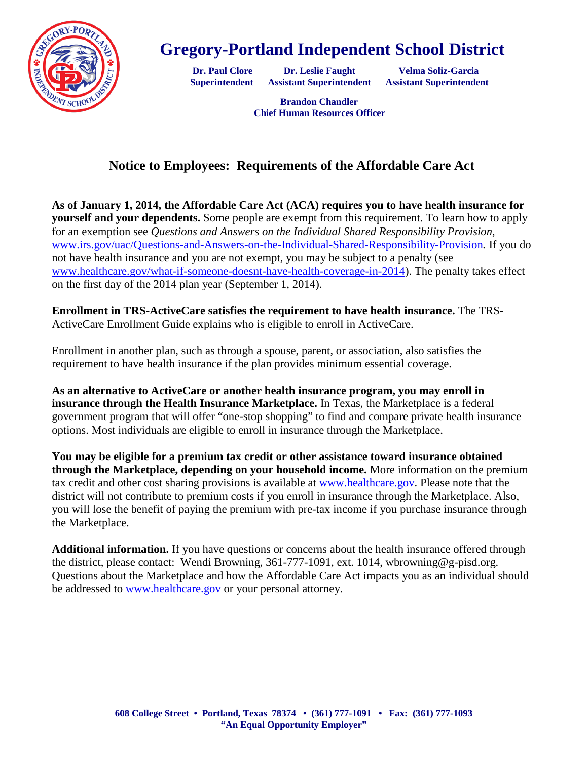

## **Gregory-Portland Independent School District**

**Dr. Paul Clore Dr. Leslie Faught Velma Soliz-Garcia** 

**Superintendent Assistant Superintendent Assistant Superintendent**

 **Brandon Chandler Chief Human Resources Officer**

## **Notice to Employees: Requirements of the Affordable Care Act**

**As of January 1, 2014, the Affordable Care Act (ACA) requires you to have health insurance for yourself and your dependents.** Some people are exempt from this requirement. To learn how to apply for an exemption see *Questions and Answers on the Individual Shared Responsibility Provision*, [www.irs.gov/uac/Questions-and-Answers-on-the-Individual-Shared-Responsibility-Provision](http://www.irs.gov/uac/Questions-and-Answers-on-the-Individual-Shared-Responsibility-Provision)*.* If you do not have health insurance and you are not exempt, you may be subject to a penalty (see [www.healthcare.gov/what-if-someone-doesnt-have-health-coverage-in-2014\)](http://www.healthcare.gov/what-if-someone-doesnt-have-health-coverage-in-2014). The penalty takes effect on the first day of the 2014 plan year (September 1, 2014).

**Enrollment in TRS-ActiveCare satisfies the requirement to have health insurance.** The TRS-ActiveCare Enrollment Guide explains who is eligible to enroll in ActiveCare.

Enrollment in another plan, such as through a spouse, parent, or association, also satisfies the requirement to have health insurance if the plan provides minimum essential coverage.

**As an alternative to ActiveCare or another health insurance program, you may enroll in insurance through the Health Insurance Marketplace.** In Texas, the Marketplace is a federal government program that will offer "one-stop shopping" to find and compare private health insurance options. Most individuals are eligible to enroll in insurance through the Marketplace.

**You may be eligible for a premium tax credit or other assistance toward insurance obtained through the Marketplace, depending on your household income.** More information on the premium tax credit and other cost sharing provisions is available at [www.healthcare.gov.](http://www.healthcare.gov/) Please note that the district will not contribute to premium costs if you enroll in insurance through the Marketplace. Also, you will lose the benefit of paying the premium with pre-tax income if you purchase insurance through the Marketplace.

**Additional information.** If you have questions or concerns about the health insurance offered through the district, please contact: Wendi Browning, 361-777-1091, ext. 1014, wbrowning@g-pisd.org. Questions about the Marketplace and how the Affordable Care Act impacts you as an individual should be addressed to [www.healthcare.gov](http://www.healthcare.gov/) or your personal attorney.